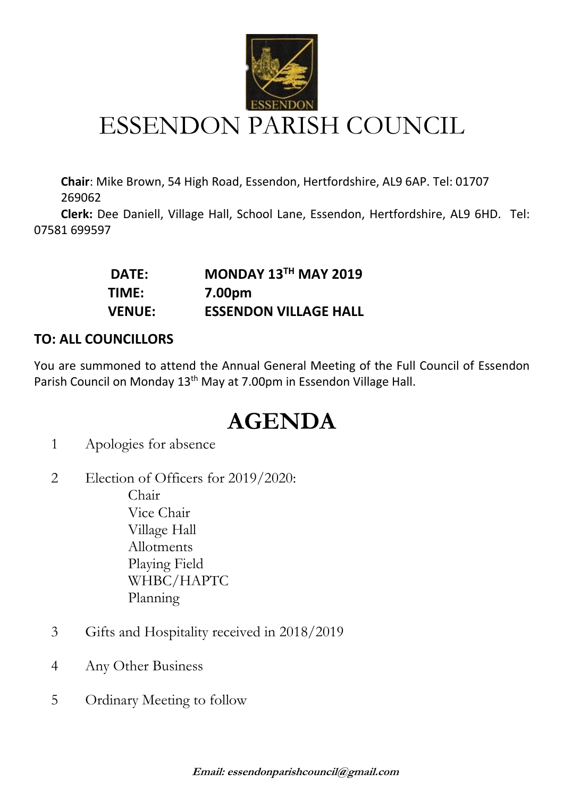

## ESSENDON PARISH COUNCIL

**Chair**: Mike Brown, 54 High Road, Essendon, Hertfordshire, AL9 6AP. Tel: 01707 269062

 **Clerk:** Dee Daniell, Village Hall, School Lane, Essendon, Hertfordshire, AL9 6HD. Tel: 07581 699597

| <b>DATE:</b>  | MONDAY $13TH$ MAY 2019       |
|---------------|------------------------------|
| TIME:         | 7.00pm                       |
| <b>VENUE:</b> | <b>ESSENDON VILLAGE HALL</b> |

## **TO: ALL COUNCILLORS**

You are summoned to attend the Annual General Meeting of the Full Council of Essendon Parish Council on Monday 13<sup>th</sup> May at 7.00pm in Essendon Village Hall.

## **AGENDA**

- 1 Apologies for absence
- 2 Election of Officers for 2019/2020: Chair Vice Chair Village Hall

Allotments Playing Field WHBC/HAPTC Planning

- 3 Gifts and Hospitality received in 2018/2019
- 4 Any Other Business
- 5 Ordinary Meeting to follow